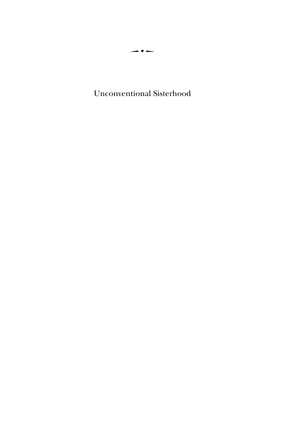Unconventional Sisterhood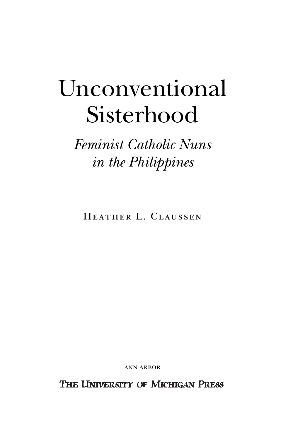## Unconventional Sisterhood

*Feminist Catholic Nuns in the Philippines*

Heather L. Claussen

ann arbor

THE UNIVERSITY OF MICHIGAN PRESS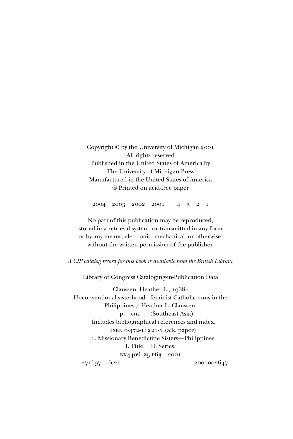Copyright © by the University of Michigan 2001 All rights reserved Published in the United States of America by The University of Michigan Press Manufactured in the United States of America  $\circledcirc$  Printed on acid-free paper

2004 2003 2002 2001 4321

No part of this publication may be reproduced, stored in a retrieval system, or transmitted in any form or by any means, electronic, mechanical, or otherwise, without the written permission of the publisher.

*A CIP catalog record for this book is available from the British Library.*

Library of Congress Cataloging-in-Publication Data

Claussen, Heather L., 1968– Unconventional sisterhood : feminist Catholic nuns in the Philippines / Heather L. Claussen. p. cm. — (Southeast Asia) Includes bibliographical references and index. isbn 0-472-11221-x (alk. paper) 1. Missionary Benedictine Sisters—Philippines. I. Title. II. Series. bx4406 .z5 p63 2001 271'.97—dc21 2001002647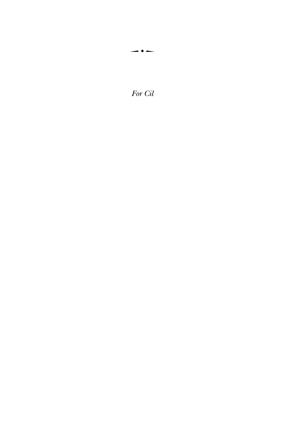For Cil

 $\overline{\phantom{a}}\bullet\overline{\phantom{a}}$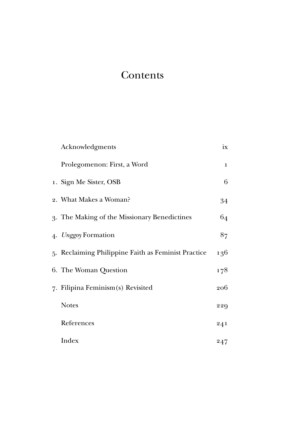## **Contents**

| Acknowledgments                                     | ix           |
|-----------------------------------------------------|--------------|
| Prolegomenon: First, a Word                         | $\mathbf{1}$ |
| 1. Sign Me Sister, OSB                              | 6            |
| 2. What Makes a Woman?                              | 34           |
| 3. The Making of the Missionary Benedictines        | 64           |
| 4. Unggoy Formation                                 | 87           |
| 5. Reclaiming Philippine Faith as Feminist Practice | 136          |
| 6. The Woman Question                               | 178          |
| 7. Filipina Feminism(s) Revisited                   | 206          |
| <b>Notes</b>                                        | 229          |
| References                                          | 241          |
| Index                                               | 247          |